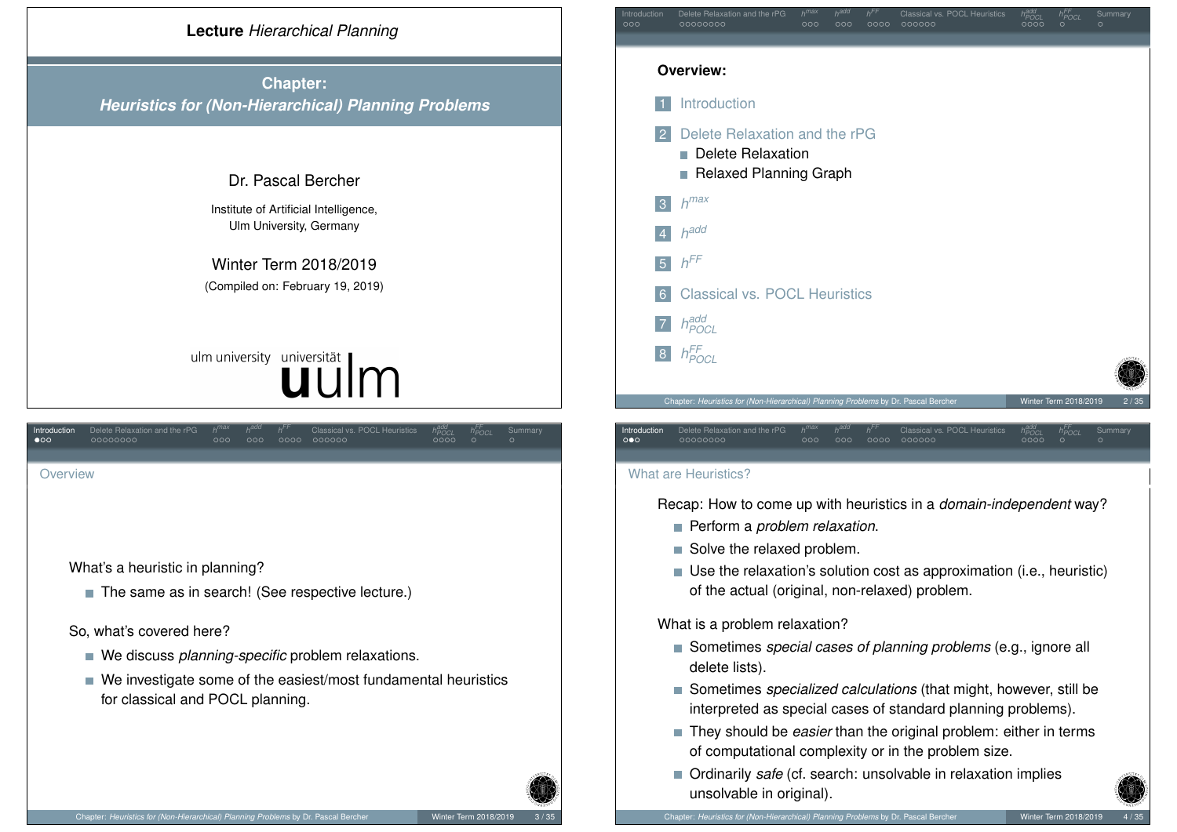<span id="page-0-0"></span>

Chapter: *Heuristics for (Non-Hierarchical) Planning Problems* by Dr. Pascal Bercher Winter Term 2018/2019

*FF*

*FF*

*POCL* Summary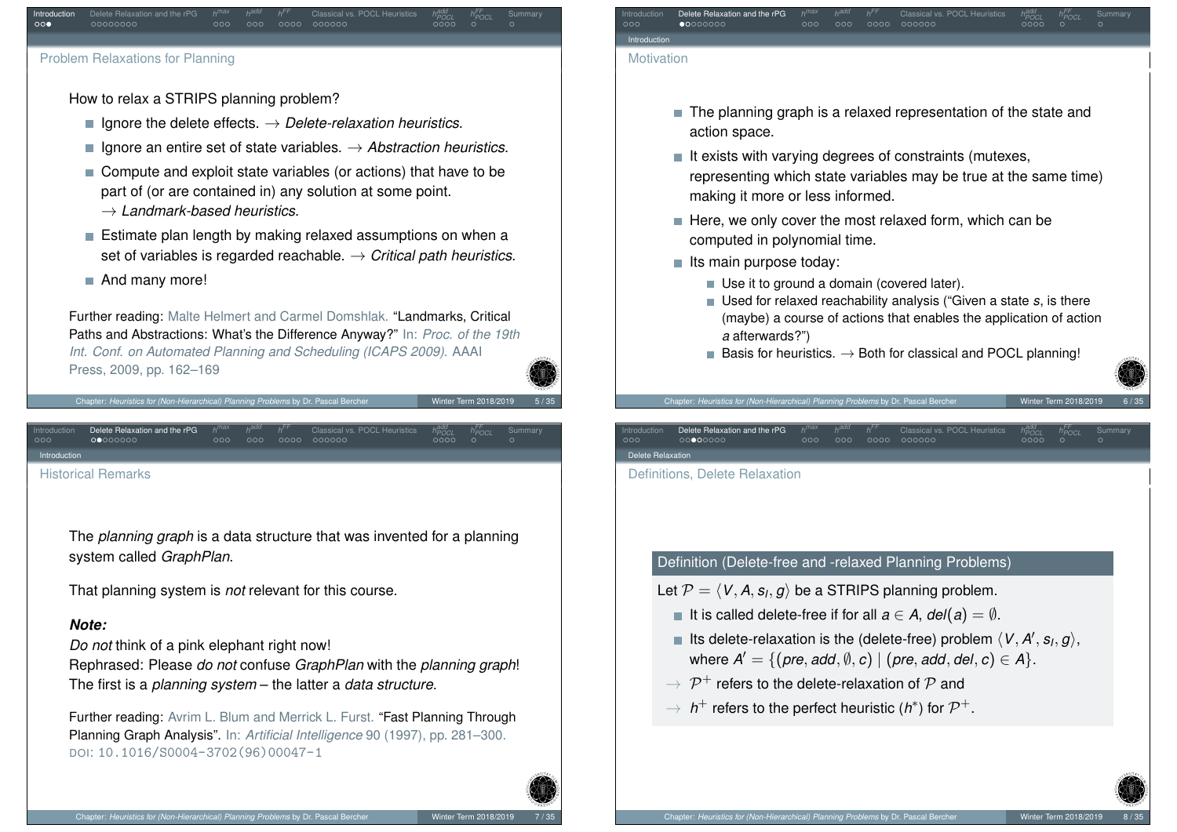

### Problem Relaxations for Planning

How to relax a STRIPS planning problem?

- $■$  Ignore the delete effects.  $→$  *Delete-relaxation heuristics*.
- Ignore an entire set of state variables.  $→$  *Abstraction heuristics*.
- Compute and exploit state variables (or actions) that have to be part of (or are contained in) any solution at some point.
	- → *Landmark-based heuristics*.
- $\blacksquare$  Estimate plan length by making relaxed assumptions on when a set of variables is regarded reachable. → *Critical path heuristics*.
- And many more!

Further reading: Malte Helmert and Carmel Domshlak. "Landmarks, Critical Paths and Abstractions: What's the Difference Anyway?" In: *Proc. of the 19th Int. Conf. on Automated Planning and Scheduling (ICAPS 2009)*. AAAI Press, 2009, pp. 162–169

Chapter: *Heuristics for (Non-Hierarchical) Planning Problems* by Dr. Pascal Bercher Winter Term 2018/2019

Introduction Delete Relaxation and the rPG *h* [Histori](#page-1-0)[cal](#page-2-0) [R](#page-3-0)emarks

> The *planning graph* is a data structure that was invented for a planning system called *GraphPlan*.

That planning system is *not* relevant for this course.

### *Note:*

<span id="page-1-0"></span>[In](#page-0-0)tro[duction](#page-1-0)

*Do not* think of a pink elephant right now! Rephrased: Please *do not* confuse *GraphPlan* with the *planning graph*!

The first is a *planning system* – the latter a *data structure*.

Further reading: Avrim L. Blum and Merrick L. Furst. "Fast Planning Through Planning Graph Analysis". In: *Artificial Intelligence* 90 (1997), pp. 281–300. DOI: [10.1016/S0004-3702\(96\)00](https://doi.org/10.1016/S0004-3702(96)00047-1)047-1



- The planning graph is a relaxed representation of the state and action space.
- $\blacksquare$  It exists with varying degrees of constraints (mutexes, representing which state variables may be true at the same time) making it more or less informed.
- $\blacksquare$  Here, we only cover the most relaxed form, which can be computed in polynomial time.
- $\blacksquare$  Its main purpose today:
	- Use it to ground a domain (covered later).
	- Used for relaxed reachability analysis ("Given a state *s*, is there (maybe) a course of actions that enables the application of action *a* afterwards?")
	- Basis for heuristics.  $\rightarrow$  Both for classical and POCL planning!

# Chapter: *Heuristics for (Non-Hierarchical) Planning Problems* by Dr. Pascal Ber

Introduction Delete Relaxation and the rPG *h FF* Delete Relaxation

Definitions, Delete Relaxation

### Definition (Delete-free and -relaxed Planning Problems)

- Let  $\mathcal{P} = \langle \textit{V}, \textit{A}, \textit{s}_\textit{I}, \textit{g} \rangle$  be a STRIPS planning problem.
	- It is called delete-free if for all  $a \in A$ ,  $del(a) = \emptyset$ .
	- Its delete-relaxation is the (delete-free) problem  $\langle V, A', s_l, g \rangle$ ,  $\mathsf{where} \ \mathsf{A}' = \{(\mathsf{pre}, \mathsf{add}, \emptyset, \mathsf{c}) \mid (\mathsf{pre}, \mathsf{add}, \mathsf{del}, \mathsf{c}) \in \mathsf{A}\}.$
	- $\rightarrow \ {\cal P}^+$  refers to the delete-relaxation of  ${\cal P}$  and
	- →  $h$ <sup>+</sup> refers to the perfect heuristic ( $h$ <sup>\*</sup>) for  $\mathcal{P}$ <sup>+</sup>.

*POCL h FF*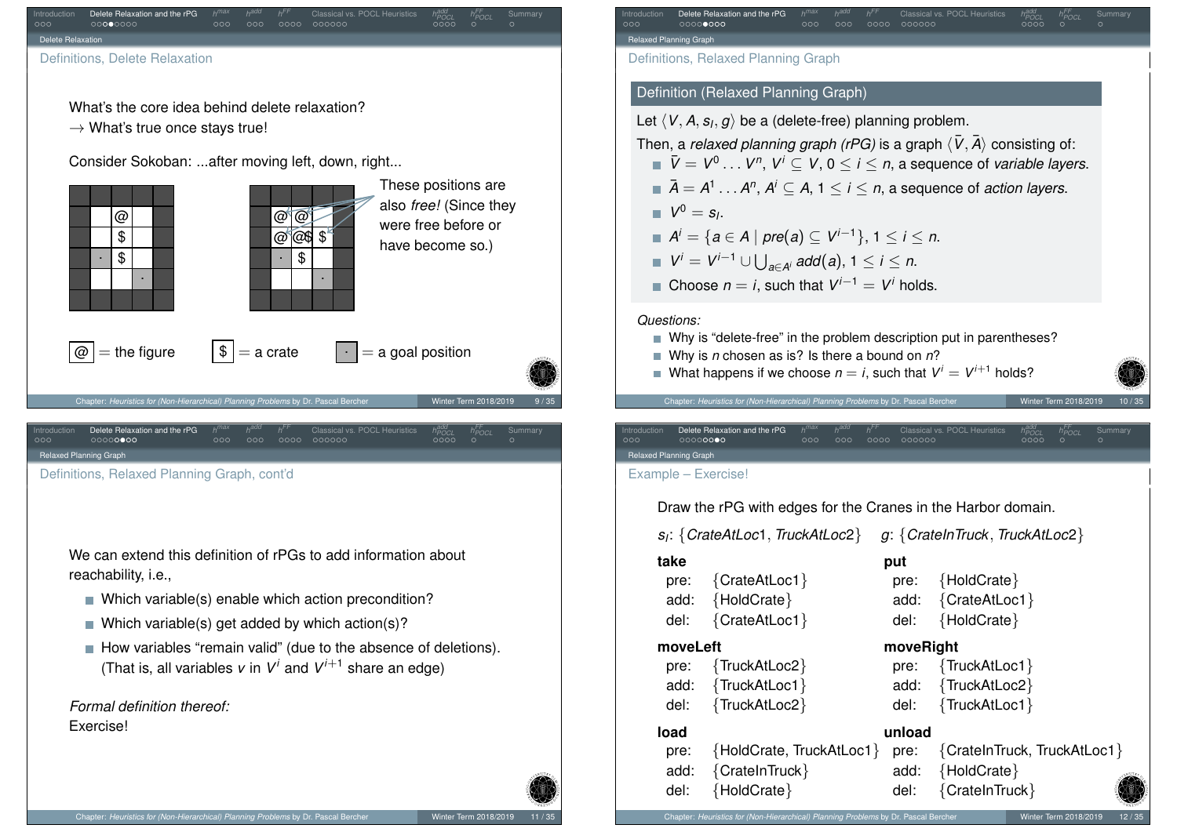<span id="page-2-0"></span>

Chapter: *Heuristics for (Non-Hierarchical) Planning Problems* by Dr. Pascal Bercher Winter Term 2018/2019

*FF*

*FF*

*POCL* Summary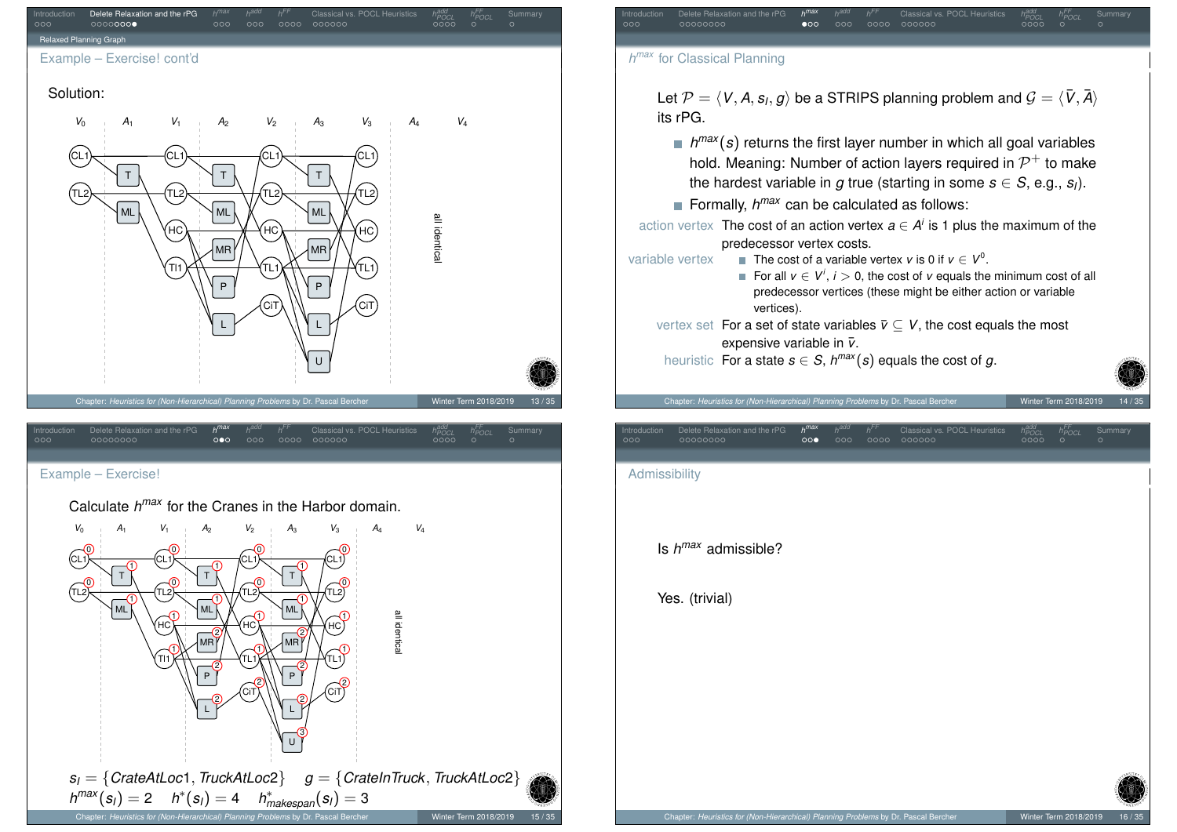<span id="page-3-0"></span>

# Chapter: *Heuristics for (Non-Hierarchical) Planning Problems* by Dr. Pascal Bercher Winter Term 2018/2019

*POCL h FF*

*FF*

*POCL* Summary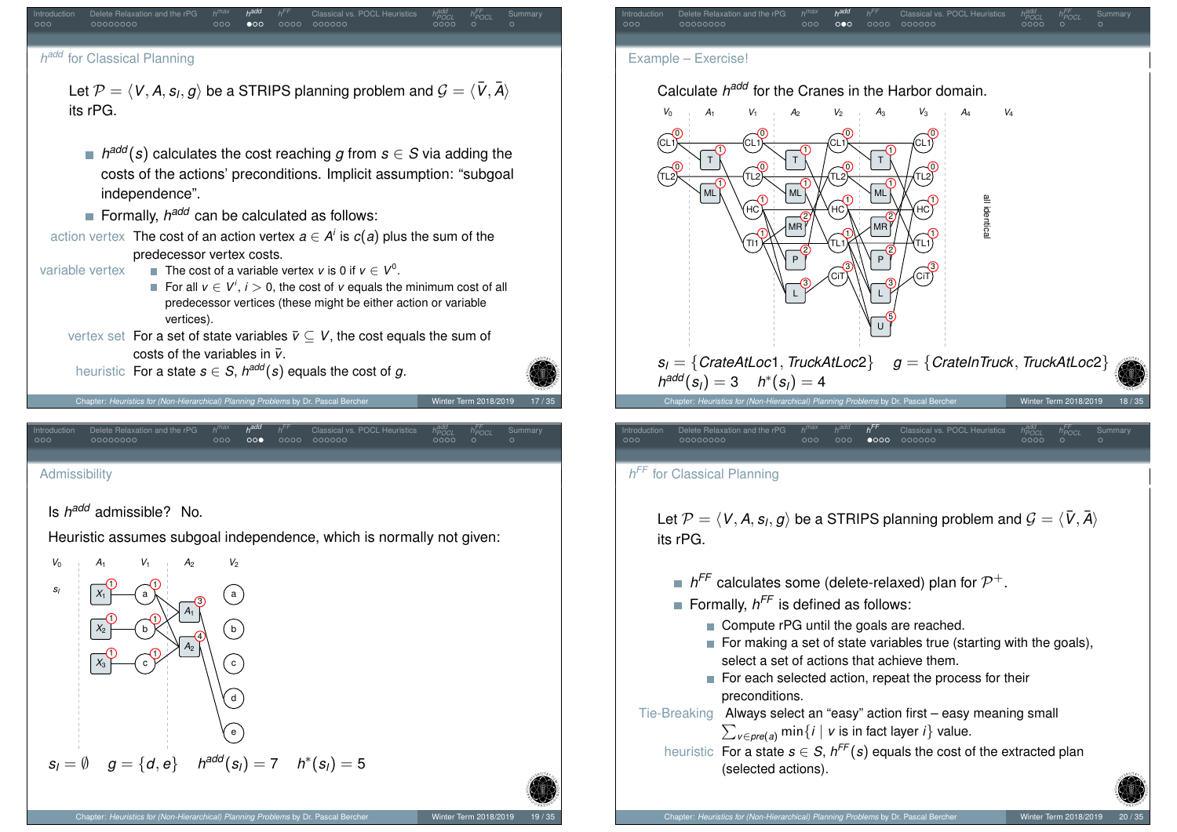<span id="page-4-0"></span>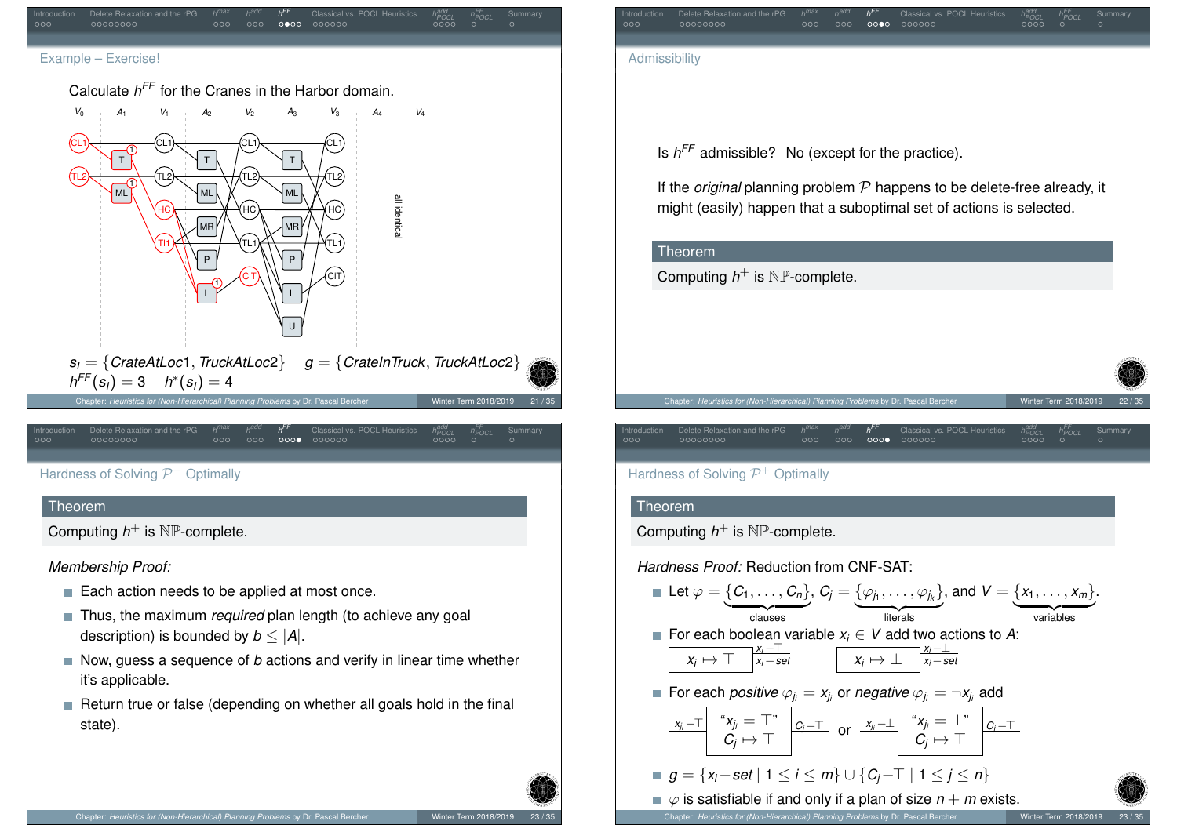<span id="page-5-0"></span>

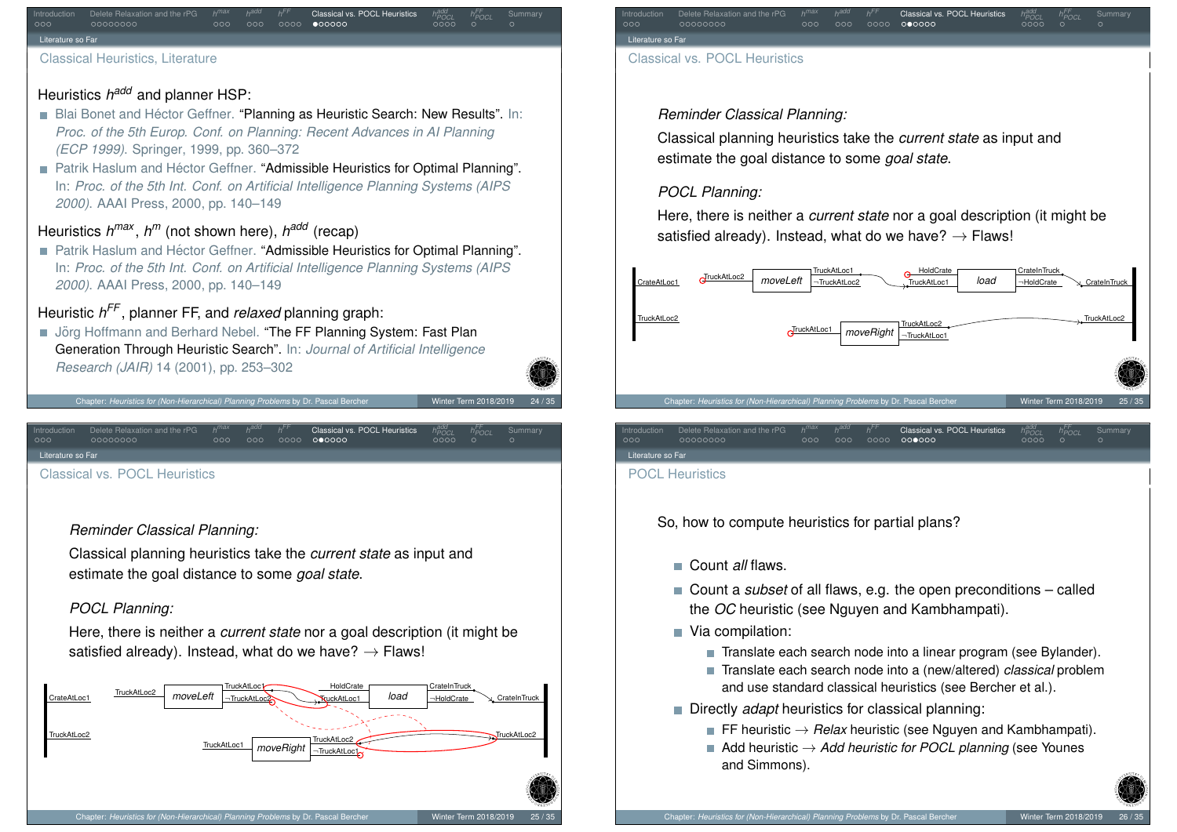### Introduction Delete Relaxation and the rPG *h FF* Classical vs. POCL Heuristics *h add POCL h FF* Literature so Far

Classical Heuristics, Literature

# Heuristics *h<sup>add</sup>* and planner HSP:

- Blai Bonet and Héctor Geffner. "Planning as Heuristic Search: New Results". In: *Proc. of the 5th Europ. Conf. on Planning: Recent Advances in AI Planning (ECP 1999)*. Springer, 1999, pp. 360–372
- **Patrik Haslum and Héctor Geffner. "Admissible Heuristics for Optimal Planning".** In: *Proc. of the 5th Int. Conf. on Artificial Intelligence Planning Systems (AIPS 2000)*. AAAI Press, 2000, pp. 140–149

# Heuristics *h max* , *h <sup>m</sup>* (not shown here), *h add* (recap)

**Patrik Haslum and Héctor Geffner. "Admissible Heuristics for Optimal Planning".** In: *Proc. of the 5th Int. Conf. on Artificial Intelligence Planning Systems (AIPS 2000)*. AAAI Press, 2000, pp. 140–149

# Heuristic *h FF* , planner FF, and *relaxed* planning graph:

■ Jörg Hoffmann and Berhard Nebel. "The FF Planning System: Fast Plan Generation Through Heuristic Search". In: *Journal of Artificial Intelligence Research (JAIR)* 14 (2001), pp. 253–302

Chapter: *Heuristics for (Non-Hierarchical) Planning Problems* by Dr. Pascal Be

<span id="page-6-0"></span>re so Fa

[Class](#page-6-0)[i](#page-1-0)[cal](#page-2-0) [vs](#page-3-0). POCL He[uris](#page-3-0)ti[cs](#page-4-0)

Introduction Delete Relaxation and the rPG *h*

### *Reminder Classical Planning:*

Classical planning heuristics take the *current state* as input and estimate the goal distance to some *goal state*.

### *POCL Planning:*

Here, there is neither a *current state* nor a goal description (it might be satisfied already). Instead, what do we have?  $\rightarrow$  Flaws!

*FF* Classical vs. POCL Heuristics *h*

*POCL h FF*





### *Reminder Classical Planning:*

Classical planning heuristics take the *current state* as input and estimate the goal distance to some *goal state*.

### *POCL Planning:*

Here, there is neither a *current state* nor a goal description (it might be satisfied already). Instead, what do we have?  $\rightarrow$  Flaws!



Literature so Far POCL Heuristics

So, how to compute heuristics for partial plans?

- Count *all* flaws.
- Count a *subset* of all flaws, e.g. the open preconditions called the *OC* heuristic (see Nguyen and Kambhampati).
- Via compilation:
	- Translate each search node into a linear program (see Bylander).
	- Translate each search node into a (new/altered) *classical* problem and use standard classical heuristics (see Bercher et al.).
- **Directly** *adapt* heuristics for classical planning:
	- **FF** heuristic  $\rightarrow$  *Relax* heuristic (see Nguyen and Kambhampati).
	- Add heuristic  $\rightarrow$  Add heuristic for POCL planning (see Younes and Simmons).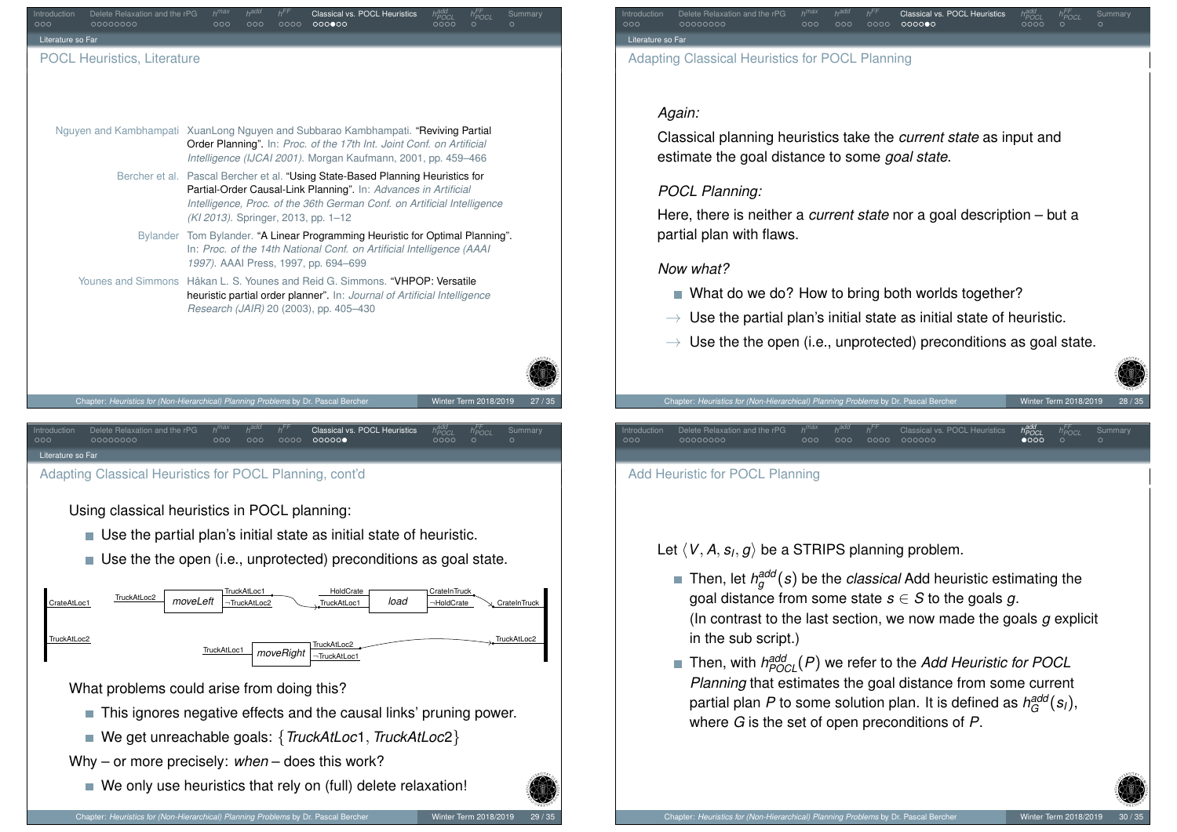<span id="page-7-0"></span>

### Introduction Delete Relaxation and the rPG *h FF* Classical vs. POCL Heuristics *h POCL h FF POCL* Summary Literature so Fa Adapting Classical Heuristics for POCL Planning

### *Again:*

Classical planning heuristics take the *current state* as input and estimate the goal distance to some *goal state*.

### *POCL Planning:*

Here, there is neither a *current state* nor a goal description – but a partial plan with flaws.

### *Now what?*

- What do we do? How to bring both worlds together?
- $\rightarrow$  Use the partial plan's initial state as initial state of heuristic.
- $\rightarrow$  Use the the open (i.e., unprotected) preconditions as goal state.

 $0000$ 

Chapter: *Heuristics for (Non-Hierarchical) Planning Problems* by Dr. Pascal Bercher Winter Term 2018/2019 28 / 35

- Let  $\langle V, A, s_l, g \rangle$  be a STRIPS planning problem.
	- Then, let  $h^{\textit{add}}_g(s)$  be the *classical* Add heuristic estimating the goal distance from some state  $s \in S$  to the goals  $q$ . (In contrast to the last section, we now made the goals *g* explicit in the sub script.)
	- Then, with *h add POCL*(*P*) we refer to the *Add Heuristic for POCL Planning* that estimates the goal distance from some current partial plan  $P$  to some solution plan. It is defined as  $h_G^{\mathsf{add}}(\boldsymbol{s}_l),$ where *G* is the set of open preconditions of *P*.

*add POCL h FF*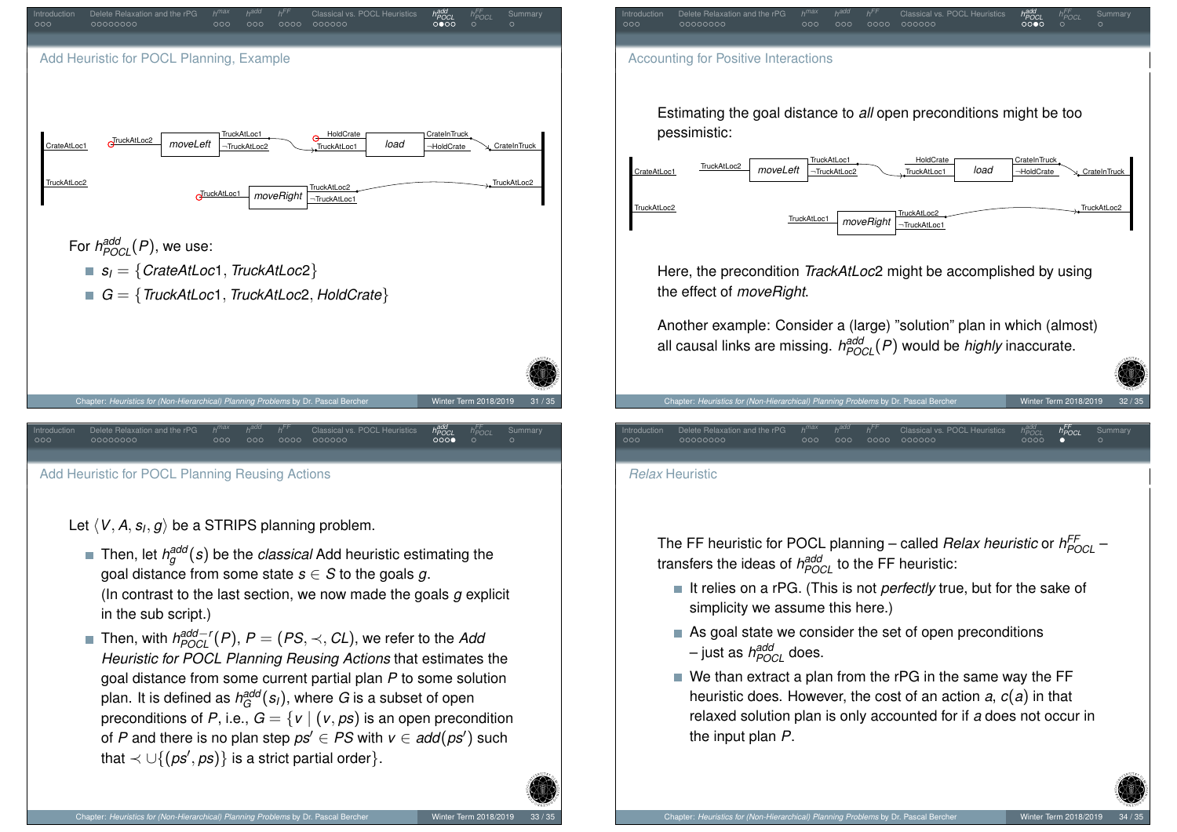

Let  $\langle$   $V,$  *A*,  $s$ *I*,  $g$  $\rangle$  be a STRIPS planning problem.

- Then, let  $h^{\textit{add}}_g(s)$  be the *classical* Add heuristic estimating the goal distance from some state  $s \in S$  to the goals g. (In contrast to the last section, we now made the goals *g* explicit in the sub script.)
- Then, with *h add*−*r POCL* (*P*), *P* = (*PS*, ≺, *CL*), we refer to the *Add Heuristic for POCL Planning Reusing Actions* that estimates the goal distance from some current partial plan *P* to some solution plan. It is defined as  $h_G^{\textit{add}}(s_l)$ , where  $G$  is a subset of open preconditions of *P*, i.e.,  $G = \{v \mid (v, ps) \text{ is an open precondition}$ of *P* and there is no plan step  $ps' \in PS$  with  $v \in add(ps')$  such that  $\prec \cup \{ (ps',ps) \}$  is a strict partial order}.